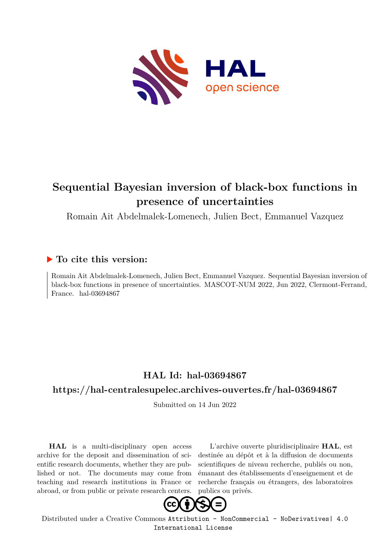

#### **Sequential Bayesian inversion of black-box functions in presence of uncertainties**

Romain Ait Abdelmalek-Lomenech, Julien Bect, Emmanuel Vazquez

#### **To cite this version:**

Romain Ait Abdelmalek-Lomenech, Julien Bect, Emmanuel Vazquez. Sequential Bayesian inversion of black-box functions in presence of uncertainties. MASCOT-NUM 2022, Jun 2022, Clermont-Ferrand, France. hal-03694867

#### **HAL Id: hal-03694867**

#### **<https://hal-centralesupelec.archives-ouvertes.fr/hal-03694867>**

Submitted on 14 Jun 2022

**HAL** is a multi-disciplinary open access archive for the deposit and dissemination of scientific research documents, whether they are published or not. The documents may come from teaching and research institutions in France or abroad, or from public or private research centers.

L'archive ouverte pluridisciplinaire **HAL**, est destinée au dépôt et à la diffusion de documents scientifiques de niveau recherche, publiés ou non, émanant des établissements d'enseignement et de recherche français ou étrangers, des laboratoires publics ou privés.



Distributed under a Creative Commons [Attribution - NonCommercial - NoDerivatives| 4.0](http://creativecommons.org/licenses/by-nc-nd/4.0/) [International License](http://creativecommons.org/licenses/by-nc-nd/4.0/)